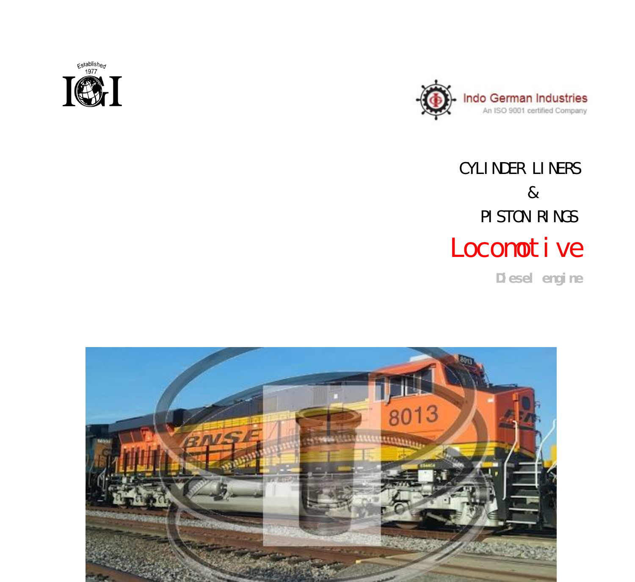



# CYLINDER LINERS & PISTON RINGS Locomotive

 **Diesel engine**

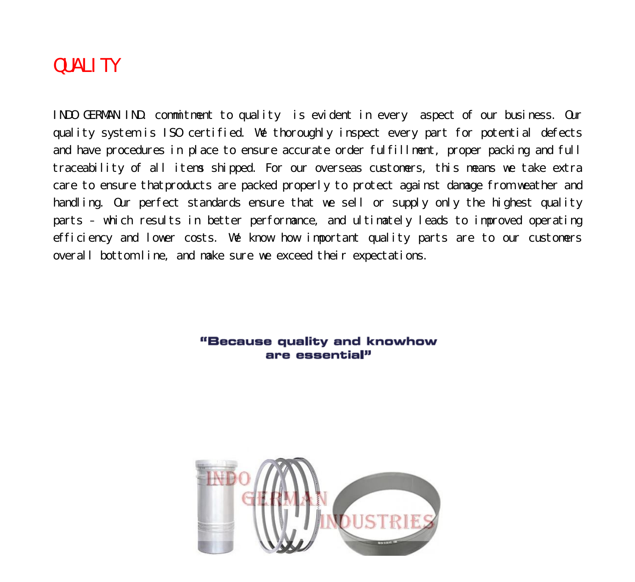### QUALITY

INDO GERMAN IND. commitment to quality is evident in every aspect of our business. Our quality system is ISO certified. We thoroughly inspect every part for potential defects and have procedures in place to ensure accurate order fulfillment, proper packing and full traceability of all items shipped. For our overseas customers, this means we take extra care to ensure thatproducts are packed properly to protect against damage from weather and handling. Our perfect standards ensure that we sell or supply only the highest quality parts – which results in better performance, and ultimately leads to improved operating efficiency and lower costs. We know how important quality parts are to our customers overall bottom line, and make sure we exceed their expectations.

#### "Because quality and knowhow are essential"

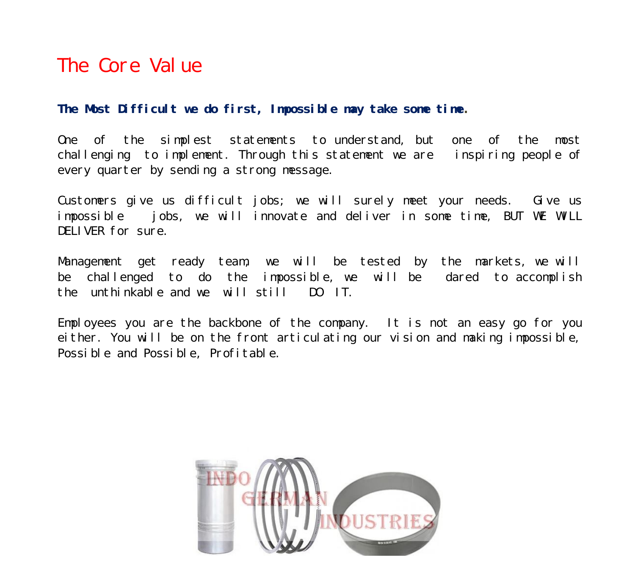### The Core Value

#### **The Most Difficult we do first, Impossible may take some time.**

One of the simplest statements to understand, but one of the most challenging to implement. Through this statement we are inspiring people of every quarter by sending a strong message.

Customers give us difficult jobs; we will surely meet your needs. Give us impossible jobs, we will innovate and deliver in some time, BUT WE WILL DELIVER for sure.

Management get ready team, we will be tested by the markets, we will be challenged to do the impossible, we will be dared to accomplish the unthinkable and we will still DO IT.

Employees you are the backbone of the company. It is not an easy go for you either. You will be on the front articulating our vision and making impossible, Possible and Possible, Profitable.

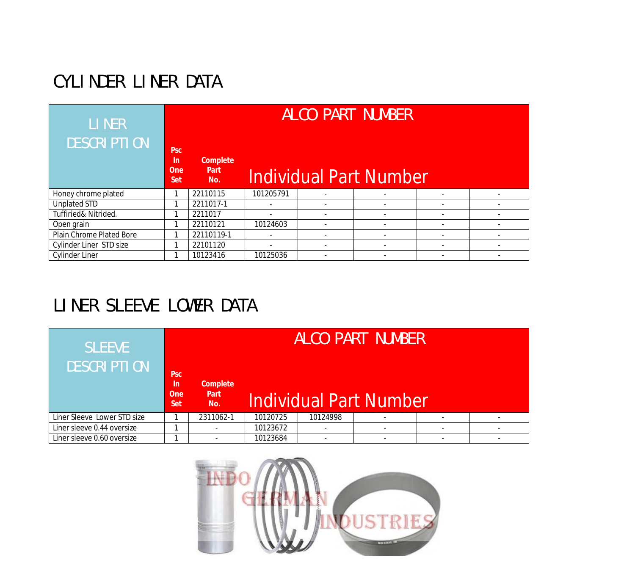# CYLINDER LINER DATA

| <b>LINER</b><br><b>DESCRIPTION</b> | <b>Psc</b><br><u>In</u><br><b>One</b><br><b>Set</b> | ALCO PART NUMBER<br><b>Complete</b><br><b>Part</b><br>Individual Part Number<br>No. |           |  |                          |                          |  |  |  |
|------------------------------------|-----------------------------------------------------|-------------------------------------------------------------------------------------|-----------|--|--------------------------|--------------------------|--|--|--|
| Honey chrome plated                |                                                     | 22110115                                                                            | 101205791 |  |                          |                          |  |  |  |
| <b>Unplated STD</b>                |                                                     | 2211017-1                                                                           |           |  | $\overline{\phantom{a}}$ |                          |  |  |  |
| Tuffiried& Nitrided.               |                                                     | 2211017                                                                             |           |  | $\overline{\phantom{a}}$ |                          |  |  |  |
| Open grain                         |                                                     | 22110121                                                                            | 10124603  |  | $\overline{\phantom{a}}$ |                          |  |  |  |
| Plain Chrome Plated Bore           |                                                     | 22110119-1                                                                          |           |  | $\overline{\phantom{a}}$ |                          |  |  |  |
| Cylinder Liner STD size            | ◀                                                   | 22101120                                                                            |           |  | $\overline{\phantom{a}}$ |                          |  |  |  |
| <b>Cylinder Liner</b>              |                                                     | 10123416                                                                            | 10125036  |  | $\overline{\phantom{a}}$ | $\overline{\phantom{a}}$ |  |  |  |

### LINER SLEEVE LOWER DATA

| <b>SLEEVE</b><br><b>DESCRIPTION</b> | <b>Psc</b><br>ln.<br><b>One</b><br><b>Set</b> | <b>Complete</b><br><b>Part</b><br>No. |          |          | ALCO PART NUMBER<br>Individual Part Number |  |
|-------------------------------------|-----------------------------------------------|---------------------------------------|----------|----------|--------------------------------------------|--|
| Liner Sleeve Lower STD size         |                                               | 2311062-1                             | 10120725 | 10124998 |                                            |  |
| Liner sleeve 0.44 oversize          |                                               |                                       | 10123672 |          |                                            |  |
| Liner sleeve 0.60 oversize          |                                               | $\overline{\phantom{a}}$              | 10123684 |          | $\overline{\phantom{0}}$                   |  |

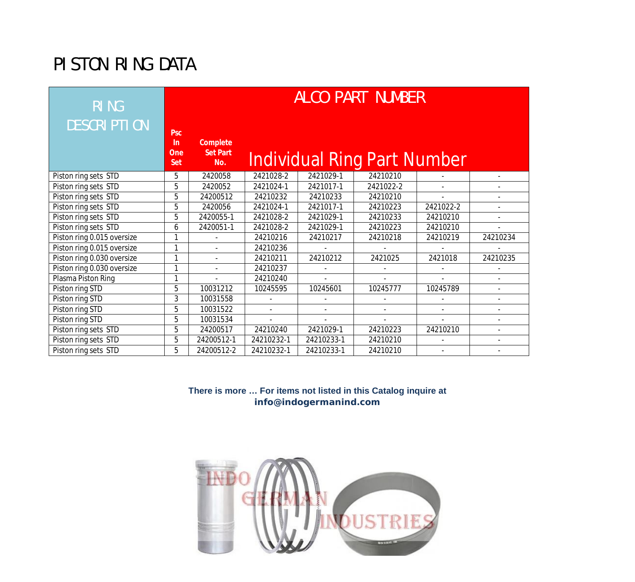## PISTON RING DATA

| <b>RING</b>                | <b>ALCO PART NUMBER</b>                             |                                           |                |                          |                                    |                |                          |  |
|----------------------------|-----------------------------------------------------|-------------------------------------------|----------------|--------------------------|------------------------------------|----------------|--------------------------|--|
| <b>DESCRIPTION</b>         | <b>Psc</b><br><b>In</b><br><b>One</b><br><b>Set</b> | <b>Complete</b><br><b>Set Part</b><br>No. |                |                          | <b>Individual Ring Part Number</b> |                |                          |  |
| Piston ring sets STD       | 5                                                   | 2420058                                   | 2421028-2      | 2421029-1                | 24210210                           |                |                          |  |
| Piston ring sets STD       | 5                                                   | 2420052                                   | 2421024-1      | 2421017-1                | 2421022-2                          |                |                          |  |
| Piston ring sets STD       | 5                                                   | 24200512                                  | 24210232       | 24210233                 | 24210210                           | $\mathbf{r}$   | $\overline{\phantom{a}}$ |  |
| Piston ring sets STD       | 5                                                   | 2420056                                   | 2421024-1      | 2421017-1                | 24210223                           | 2421022-2      | $\blacksquare$           |  |
| Piston ring sets STD       | 5                                                   | 2420055-1                                 | 2421028-2      | 2421029-1                | 24210233                           | 24210210       |                          |  |
| Piston ring sets STD       | 6                                                   | 2420051-1                                 | 2421028-2      | 2421029-1                | 24210223                           | 24210210       |                          |  |
| Piston ring 0.015 oversize |                                                     |                                           | 24210216       | 24210217                 | 24210218                           | 24210219       | 24210234                 |  |
| Piston ring 0.015 oversize | 1                                                   | $\blacksquare$                            | 24210236       |                          |                                    |                |                          |  |
| Piston ring 0.030 oversize |                                                     | $\overline{\phantom{0}}$                  | 24210211       | 24210212                 | 2421025                            | 2421018        | 24210235                 |  |
| Piston ring 0.030 oversize |                                                     | $\blacksquare$                            | 24210237       |                          |                                    |                |                          |  |
| Plasma Piston Ring         |                                                     |                                           | 24210240       |                          |                                    |                | $\overline{\phantom{a}}$ |  |
| Piston ring STD            | 5                                                   | 10031212                                  | 10245595       | 10245601                 | 10245777                           | 10245789       | $\blacksquare$           |  |
| Piston ring STD            | 3                                                   | 10031558                                  |                |                          |                                    |                | $\overline{\phantom{a}}$ |  |
| Piston ring STD            | 5                                                   | 10031522                                  |                | $\overline{\phantom{a}}$ | $\overline{\phantom{m}}$           |                | $\overline{\phantom{a}}$ |  |
| Piston ring STD            | 5                                                   | 10031534                                  | $\blacksquare$ | $\sim$                   | $\blacksquare$                     | $\overline{a}$ | $\blacksquare$           |  |
| Piston ring sets STD       | 5                                                   | 24200517                                  | 24210240       | 2421029-1                | 24210223                           | 24210210       | $\overline{\phantom{a}}$ |  |
| Piston ring sets STD       | 5                                                   | 24200512-1                                | 24210232-1     | 24210233-1               | 24210210                           |                | $\overline{\phantom{a}}$ |  |
| Piston ring sets STD       | 5                                                   | 24200512-2                                | 24210232-1     | 24210233-1               | 24210210                           |                |                          |  |

**There is more … For items not listed in this Catalog inquire at info@indogermanind.com**